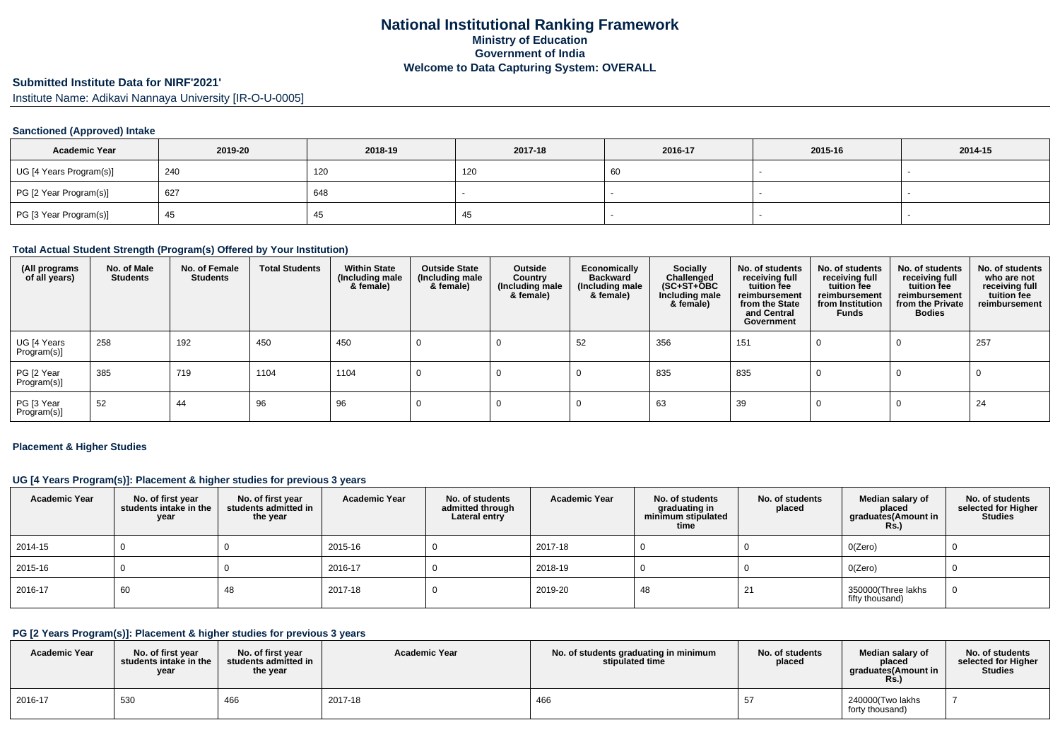# **Submitted Institute Data for NIRF'2021'**

Institute Name: Adikavi Nannaya University [IR-O-U-0005]

#### **Sanctioned (Approved) Intake**

| <b>Academic Year</b>    | 2019-20 | 2018-19 | 2017-18 | 2016-17 | 2015-16 | 2014-15 |
|-------------------------|---------|---------|---------|---------|---------|---------|
| UG [4 Years Program(s)] | 240     | 120     | 120     | 60      |         |         |
| PG [2 Year Program(s)]  | 627     | 648     |         |         |         |         |
| PG [3 Year Program(s)]  | -45     |         | -43     |         |         |         |

#### **Total Actual Student Strength (Program(s) Offered by Your Institution)**

| (All programs<br>of all years) | No. of Male<br><b>Students</b> | No. of Female<br><b>Students</b> | <b>Total Students</b> | <b>Within State</b><br>(Including male<br>& female) | <b>Outside State</b><br>(Including male<br>& female) | Outside<br>Country<br>(Including male<br>& female) | Economically<br><b>Backward</b><br>(Including male<br>& female) | <b>Socially</b><br>Challenged<br>$(SC+ST+\overline{O}BC)$<br>Including male<br>& female) | No. of students<br>receiving full<br>tuition fee<br>reimbursement<br>from the State<br>and Central<br>Government | No. of students<br>receiving full<br>tuition fee<br>reimbursement<br>from Institution<br>Funds | No. of students<br>receiving full<br>tuition fee<br>reimbursement<br>from the Private<br><b>Bodies</b> | No. of students<br>who are not<br>receiving full<br>tuition fee<br>reimbursement |
|--------------------------------|--------------------------------|----------------------------------|-----------------------|-----------------------------------------------------|------------------------------------------------------|----------------------------------------------------|-----------------------------------------------------------------|------------------------------------------------------------------------------------------|------------------------------------------------------------------------------------------------------------------|------------------------------------------------------------------------------------------------|--------------------------------------------------------------------------------------------------------|----------------------------------------------------------------------------------|
| UG [4 Years<br>Program(s)]     | 258                            | 192                              | 450                   | 450                                                 |                                                      |                                                    | 52                                                              | 356                                                                                      | 151                                                                                                              |                                                                                                |                                                                                                        | 257                                                                              |
| PG [2 Year<br>Program(s)]      | 385                            | 719                              | 1104                  | 1104                                                |                                                      |                                                    |                                                                 | 835                                                                                      | 835                                                                                                              |                                                                                                |                                                                                                        |                                                                                  |
| PG [3 Year<br>Program(s)]      | 52                             | 44                               | 96                    | 96                                                  |                                                      |                                                    |                                                                 | 63                                                                                       | 39                                                                                                               |                                                                                                |                                                                                                        | 24                                                                               |

#### **Placement & Higher Studies**

#### **UG [4 Years Program(s)]: Placement & higher studies for previous 3 years**

| <b>Academic Year</b> | No. of first year<br>students intake in the<br>year | No. of first year<br>students admitted in<br>the year | <b>Academic Year</b> | No. of students<br>admitted through<br>Lateral entry | <b>Academic Year</b> | No. of students<br>graduating in<br>minimum stipulated<br>time | No. of students<br>placed | Median salary of<br>placed<br>graduates(Amount in<br>Rs. | No. of students<br>selected for Higher<br><b>Studies</b> |
|----------------------|-----------------------------------------------------|-------------------------------------------------------|----------------------|------------------------------------------------------|----------------------|----------------------------------------------------------------|---------------------------|----------------------------------------------------------|----------------------------------------------------------|
| 2014-15              |                                                     |                                                       | 2015-16              |                                                      | 2017-18              |                                                                |                           | O(Zero)                                                  |                                                          |
| 2015-16              |                                                     |                                                       | 2016-17              |                                                      | 2018-19              |                                                                |                           | O(Zero)                                                  |                                                          |
| 2016-17              | 60                                                  | 48                                                    | 2017-18              |                                                      | 2019-20              | 48                                                             | 21                        | 350000(Three lakhs<br>fifty thousand)                    |                                                          |

### **PG [2 Years Program(s)]: Placement & higher studies for previous 3 years**

| <b>Academic Year</b> | No. of first vear<br>students intake in the<br>year | No. of first year<br>$\,$ students admitted in $\,$<br>the year | <b>Academic Year</b> | No. of students graduating in minimum<br>stipulated time | No. of students<br>placed | Median salary of<br>placed<br>araduates(Amount in<br><b>Rs.)</b> | No. of students<br>selected for Higher<br><b>Studies</b> |
|----------------------|-----------------------------------------------------|-----------------------------------------------------------------|----------------------|----------------------------------------------------------|---------------------------|------------------------------------------------------------------|----------------------------------------------------------|
| 2016-17              | 530                                                 | 466                                                             | 2017-18              | 466                                                      |                           | 240000(Two lakhs<br>forty thousand)                              |                                                          |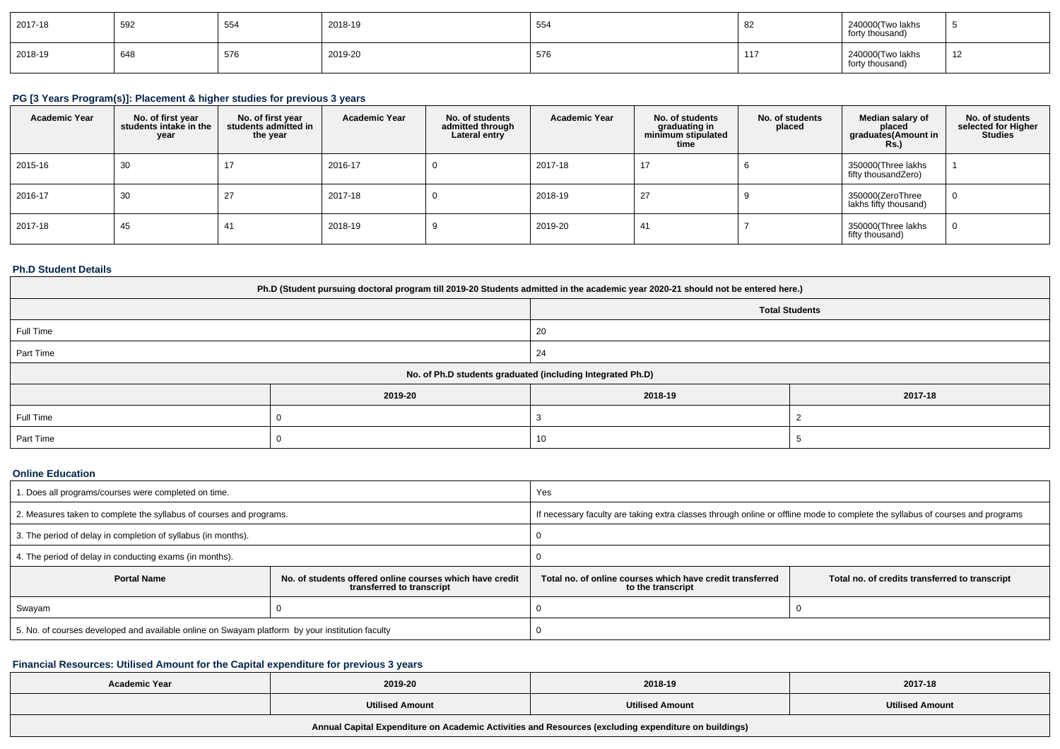| 2017-18 | 592 | 554          | 2018-19      | 554 | ັບ∠ | 240000(Two lakhs<br>forty thousand) |    |
|---------|-----|--------------|--------------|-----|-----|-------------------------------------|----|
| 2018-19 | 648 | 576<br>ິບ ເບ | 2019-20<br>. | 576 |     | 240000(Two lakhs<br>forty thousand) | 12 |

# **PG [3 Years Program(s)]: Placement & higher studies for previous 3 years**

| <b>Academic Year</b> | No. of first year<br>students intake in the<br>year | No. of first vear<br>students admitted in<br>the year | <b>Academic Year</b> | No. of students<br>admitted through<br>Lateral entry | <b>Academic Year</b> | No. of students<br>graduating in<br>minimum stipulated<br>time | No. of students<br>placed | Median salary of<br>placed<br>graduates (Amount in<br><b>Rs.</b> ) | No. of students<br>selected for Higher<br><b>Studies</b> |
|----------------------|-----------------------------------------------------|-------------------------------------------------------|----------------------|------------------------------------------------------|----------------------|----------------------------------------------------------------|---------------------------|--------------------------------------------------------------------|----------------------------------------------------------|
| 2015-16              | 30                                                  | 17                                                    | 2016-17              |                                                      | 2017-18              | 17                                                             |                           | 350000(Three lakhs<br>fifty thousandZero)                          |                                                          |
| 2016-17              | 30                                                  | 27                                                    | 2017-18              |                                                      | 2018-19              | 27                                                             |                           | 350000(ZeroThree<br>lakhs fifty thousand)                          | $\mathbf 0$                                              |
| 2017-18              | 45                                                  | 41                                                    | 2018-19              |                                                      | 2019-20              | 41                                                             |                           | 350000(Three lakhs<br>fifty thousand)                              | $\overline{0}$                                           |

### **Ph.D Student Details**

| Ph.D (Student pursuing doctoral program till 2019-20 Students admitted in the academic year 2020-21 should not be entered here.) |         |         |         |  |  |  |  |
|----------------------------------------------------------------------------------------------------------------------------------|---------|---------|---------|--|--|--|--|
| <b>Total Students</b>                                                                                                            |         |         |         |  |  |  |  |
| Full Time                                                                                                                        |         | 20      |         |  |  |  |  |
| Part Time                                                                                                                        |         | 24      |         |  |  |  |  |
| No. of Ph.D students graduated (including Integrated Ph.D)                                                                       |         |         |         |  |  |  |  |
|                                                                                                                                  | 2019-20 | 2018-19 | 2017-18 |  |  |  |  |
| Full Time                                                                                                                        |         |         |         |  |  |  |  |
| Part Time                                                                                                                        |         | 10      |         |  |  |  |  |

## **Online Education**

| . Does all programs/courses were completed on time.                                             |                                                                                       | Yes                                                                                                                              |  |  |
|-------------------------------------------------------------------------------------------------|---------------------------------------------------------------------------------------|----------------------------------------------------------------------------------------------------------------------------------|--|--|
| 2. Measures taken to complete the syllabus of courses and programs.                             |                                                                                       | If necessary faculty are taking extra classes through online or offline mode to complete the syllabus of courses and programs    |  |  |
| 3. The period of delay in completion of syllabus (in months).                                   |                                                                                       |                                                                                                                                  |  |  |
| 4. The period of delay in conducting exams (in months).                                         |                                                                                       |                                                                                                                                  |  |  |
| <b>Portal Name</b>                                                                              | No. of students offered online courses which have credit<br>transferred to transcript | Total no, of online courses which have credit transferred<br>Total no. of credits transferred to transcript<br>to the transcript |  |  |
| Swayam                                                                                          |                                                                                       |                                                                                                                                  |  |  |
| 5. No. of courses developed and available online on Swayam platform by your institution faculty |                                                                                       |                                                                                                                                  |  |  |

## **Financial Resources: Utilised Amount for the Capital expenditure for previous 3 years**

| <b>Academic Year</b>                                                                                 | 2019-20                | 2018-19                | 2017-18                |  |  |  |  |
|------------------------------------------------------------------------------------------------------|------------------------|------------------------|------------------------|--|--|--|--|
|                                                                                                      | <b>Utilised Amount</b> | <b>Utilised Amount</b> | <b>Utilised Amount</b> |  |  |  |  |
| Annual Capital Expenditure on Academic Activities and Resources (excluding expenditure on buildings) |                        |                        |                        |  |  |  |  |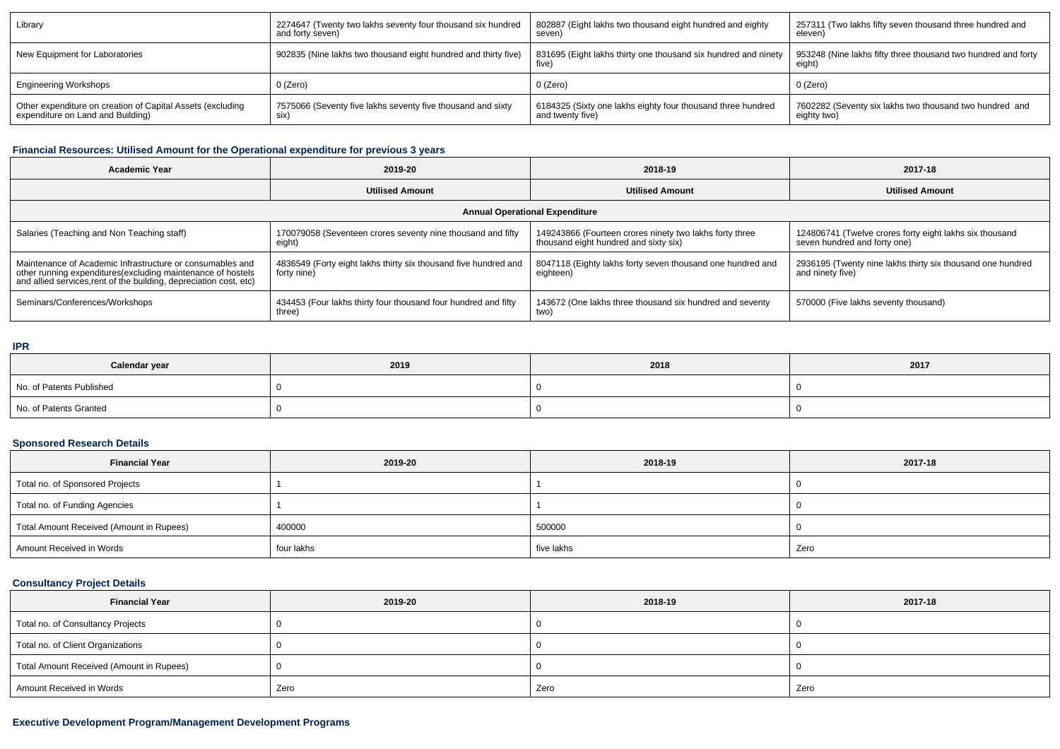| Library                                                    | 2274647 (Twenty two lakhs seventy four thousand six hundred    | 802887 (Eight lakhs two thousand eight hundred and eighty               | 257311 (Two lakhs fifty seven thousand three hundred and                |
|------------------------------------------------------------|----------------------------------------------------------------|-------------------------------------------------------------------------|-------------------------------------------------------------------------|
|                                                            | and forty seven)                                               | seven)                                                                  | eleven)                                                                 |
| New Equipment for Laboratories                             | 902835 (Nine lakhs two thousand eight hundred and thirty five) | 831695 (Eight lakhs thirty one thousand six hundred and ninety<br>five' | 953248 (Nine lakhs fifty three thousand two hundred and forty<br>eight) |
| <b>Engineering Workshops</b>                               | $0$ (Zero)                                                     | 0 (Zero)                                                                | 0 (Zero)                                                                |
| Other expenditure on creation of Capital Assets (excluding | 7575066 (Seventy five lakhs seventy five thousand and sixty    | 6184325 (Sixty one lakhs eighty four thousand three hundred             | 7602282 (Seventy six lakhs two thousand two hundred and                 |
| expenditure on Land and Building)                          | SIX)                                                           | and twenty five)                                                        | eighty two)                                                             |

## **Financial Resources: Utilised Amount for the Operational expenditure for previous 3 years**

| <b>Academic Year</b>                                                                                                                                                                            | 2019-20                                                                        | 2018-19                                                                                          | 2017-18                                                                                 |  |  |  |  |
|-------------------------------------------------------------------------------------------------------------------------------------------------------------------------------------------------|--------------------------------------------------------------------------------|--------------------------------------------------------------------------------------------------|-----------------------------------------------------------------------------------------|--|--|--|--|
|                                                                                                                                                                                                 | <b>Utilised Amount</b>                                                         | <b>Utilised Amount</b>                                                                           | <b>Utilised Amount</b>                                                                  |  |  |  |  |
| <b>Annual Operational Expenditure</b>                                                                                                                                                           |                                                                                |                                                                                                  |                                                                                         |  |  |  |  |
| Salaries (Teaching and Non Teaching staff)                                                                                                                                                      | 170079058 (Seventeen crores seventy nine thousand and fifty<br>eight)          | 149243866 (Fourteen crores ninety two lakhs forty three<br>thousand eight hundred and sixty six) | 124806741 (Twelve crores forty eight lakhs six thousand<br>seven hundred and forty one) |  |  |  |  |
| Maintenance of Academic Infrastructure or consumables and<br>other running expenditures (excluding maintenance of hostels<br>and allied services, rent of the building, depreciation cost, etc) | 4836549 (Forty eight lakhs thirty six thousand five hundred and<br>forty nine) | 8047118 (Eighty lakhs forty seven thousand one hundred and<br>eighteen)                          | 2936195 (Twenty nine lakhs thirty six thousand one hundred<br>and ninety five)          |  |  |  |  |
| Seminars/Conferences/Workshops                                                                                                                                                                  | 434453 (Four lakhs thirty four thousand four hundred and fifty<br>three)       | 143672 (One lakhs three thousand six hundred and seventy<br>two)                                 | 570000 (Five lakhs seventy thousand)                                                    |  |  |  |  |

#### **IPR**

| Calendar year            | 2019 | 2018 | 2017 |
|--------------------------|------|------|------|
| No. of Patents Published |      |      |      |
| No. of Patents Granted   |      |      |      |

## **Sponsored Research Details**

| <b>Financial Year</b>                    | 2019-20    | 2018-19    | 2017-18 |  |
|------------------------------------------|------------|------------|---------|--|
| Total no. of Sponsored Projects          |            |            |         |  |
| Total no. of Funding Agencies            |            |            |         |  |
| Total Amount Received (Amount in Rupees) | 400000     | 500000     |         |  |
| Amount Received in Words                 | four lakhs | five lakhs | Zero    |  |

## **Consultancy Project Details**

| <b>Financial Year</b>                    | 2019-20 | 2018-19 | 2017-18 |  |  |
|------------------------------------------|---------|---------|---------|--|--|
| Total no. of Consultancy Projects        |         |         |         |  |  |
| Total no. of Client Organizations        |         |         |         |  |  |
| Total Amount Received (Amount in Rupees) |         |         |         |  |  |
| Amount Received in Words                 | Zero    | Zero    | Zero    |  |  |

## **Executive Development Program/Management Development Programs**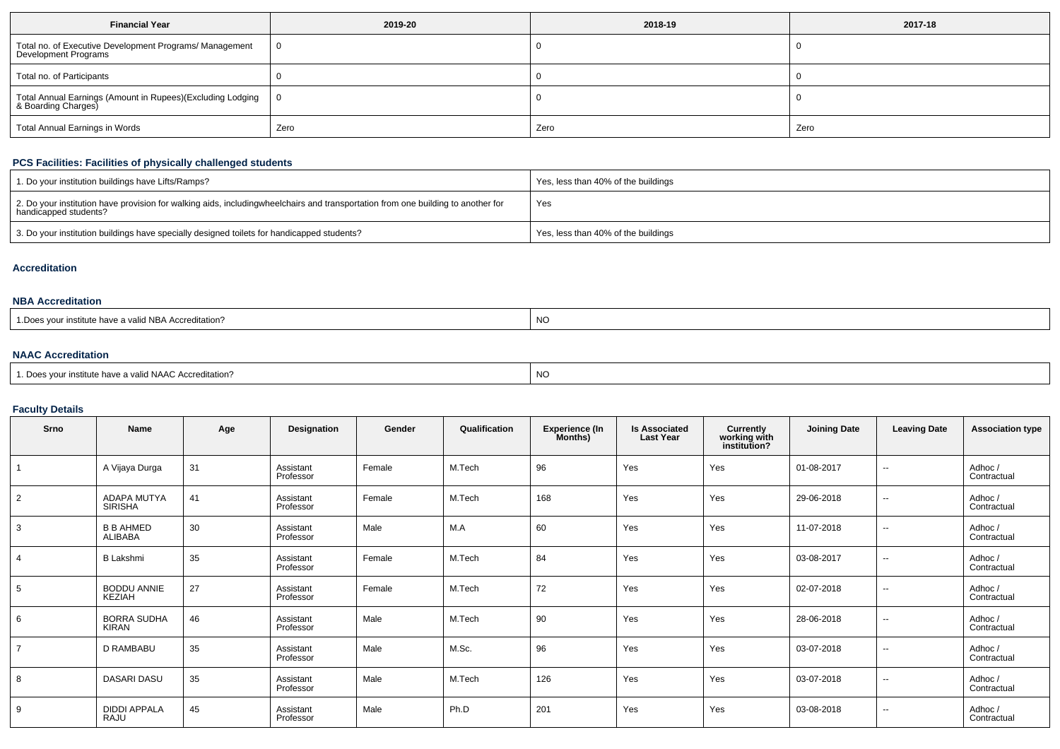| <b>Financial Year</b>                                                             | 2019-20 | 2018-19 | 2017-18 |  |  |
|-----------------------------------------------------------------------------------|---------|---------|---------|--|--|
| Total no. of Executive Development Programs/ Management<br>Development Programs   | 0       |         |         |  |  |
| Total no. of Participants                                                         |         |         |         |  |  |
| Total Annual Earnings (Amount in Rupees)(Excluding Lodging<br>& Boarding Charges) | 0       |         |         |  |  |
| Total Annual Earnings in Words                                                    | Zero    | Zero    | Zero    |  |  |

#### **PCS Facilities: Facilities of physically challenged students**

| 1. Do your institution buildings have Lifts/Ramps?                                                                                                        | Yes, less than 40% of the buildings |
|-----------------------------------------------------------------------------------------------------------------------------------------------------------|-------------------------------------|
| 2. Do your institution have provision for walking aids, includingwheelchairs and transportation from one building to another for<br>handicapped students? | Yes                                 |
| 3. Do your institution buildings have specially designed toilets for handicapped students?                                                                | Yes, less than 40% of the buildings |

#### **Accreditation**

#### **NBA Accreditation**

| <b>NC</b><br>institute have a valid NBA Accreditation? |  |  |
|--------------------------------------------------------|--|--|
|--------------------------------------------------------|--|--|

### **NAAC Accreditation**

| <sup>1</sup> Does vour institute have a valid NAAC Accreditation? | NO |
|-------------------------------------------------------------------|----|
|-------------------------------------------------------------------|----|

### **Faculty Details**

| Srno           | Name                                 | Age | Designation            | Gender | Qualification | <b>Experience (In</b><br>Months) | <b>Is Associated</b><br><b>Last Year</b> | Currently<br>working with<br>institution? | <b>Joining Date</b> | <b>Leaving Date</b>      | <b>Association type</b> |
|----------------|--------------------------------------|-----|------------------------|--------|---------------|----------------------------------|------------------------------------------|-------------------------------------------|---------------------|--------------------------|-------------------------|
|                | A Vijaya Durga                       | 31  | Assistant<br>Professor | Female | M.Tech        | 96                               | Yes                                      | Yes                                       | 01-08-2017          | $\overline{\phantom{a}}$ | Adhoc/<br>Contractual   |
| $\overline{2}$ | <b>ADAPA MUTYA</b><br><b>SIRISHA</b> | 41  | Assistant<br>Professor | Female | M.Tech        | 168                              | Yes                                      | Yes                                       | 29-06-2018          | $\overline{\phantom{a}}$ | Adhoc/<br>Contractual   |
| 3              | <b>B B AHMED</b><br>ALIBABA          | 30  | Assistant<br>Professor | Male   | M.A           | 60                               | Yes                                      | Yes                                       | 11-07-2018          | $\sim$                   | Adhoc/<br>Contractual   |
| $\overline{4}$ | <b>B Lakshmi</b>                     | 35  | Assistant<br>Professor | Female | M.Tech        | 84                               | Yes                                      | Yes                                       | 03-08-2017          | $\sim$                   | Adhoc /<br>Contractual  |
| 5              | <b>BODDU ANNIE</b><br>KEZIAH         | 27  | Assistant<br>Professor | Female | M.Tech        | 72                               | Yes                                      | Yes                                       | 02-07-2018          | $\sim$                   | Adhoc/<br>Contractual   |
| 6              | <b>BORRA SUDHA</b><br><b>KIRAN</b>   | 46  | Assistant<br>Professor | Male   | M.Tech        | 90                               | Yes                                      | Yes                                       | 28-06-2018          | $\sim$                   | Adhoc/<br>Contractual   |
| $\overline{7}$ | D RAMBABU                            | 35  | Assistant<br>Professor | Male   | M.Sc.         | 96                               | Yes                                      | Yes                                       | 03-07-2018          | $\sim$                   | Adhoc/<br>Contractual   |
| 8              | <b>DASARI DASU</b>                   | 35  | Assistant<br>Professor | Male   | M.Tech        | 126                              | Yes                                      | Yes                                       | 03-07-2018          | $\sim$                   | Adhoc/<br>Contractual   |
| 9              | <b>DIDDI APPALA</b><br>RAJU          | 45  | Assistant<br>Professor | Male   | Ph.D          | 201                              | Yes                                      | Yes                                       | 03-08-2018          | $\sim$                   | Adhoc /<br>Contractual  |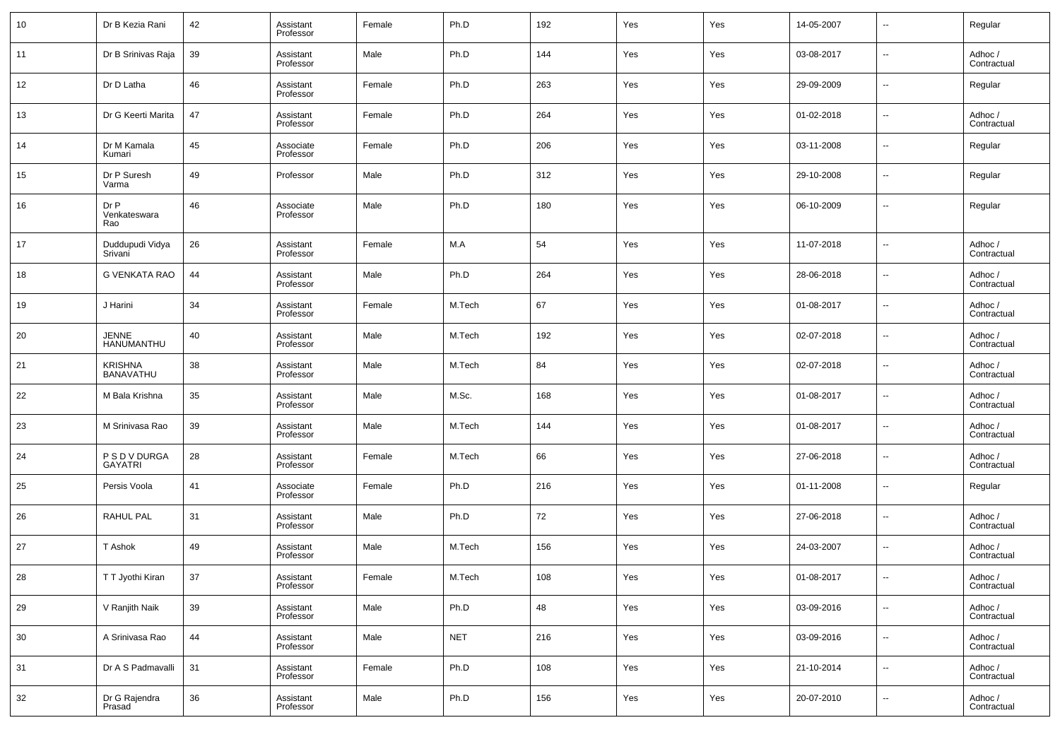| 10 | Dr B Kezia Rani                    | 42 | Assistant<br>Professor | Female | Ph.D       | 192 | Yes | Yes | 14-05-2007 | $\sim$                   | Regular                |
|----|------------------------------------|----|------------------------|--------|------------|-----|-----|-----|------------|--------------------------|------------------------|
| 11 | Dr B Srinivas Raja                 | 39 | Assistant<br>Professor | Male   | Ph.D       | 144 | Yes | Yes | 03-08-2017 | $\sim$                   | Adhoc /<br>Contractual |
| 12 | Dr D Latha                         | 46 | Assistant<br>Professor | Female | Ph.D       | 263 | Yes | Yes | 29-09-2009 | $\sim$                   | Regular                |
| 13 | Dr G Keerti Marita                 | 47 | Assistant<br>Professor | Female | Ph.D       | 264 | Yes | Yes | 01-02-2018 | $\sim$                   | Adhoc /<br>Contractual |
| 14 | Dr M Kamala<br>Kumari              | 45 | Associate<br>Professor | Female | Ph.D       | 206 | Yes | Yes | 03-11-2008 | $\sim$                   | Regular                |
| 15 | Dr P Suresh<br>Varma               | 49 | Professor              | Male   | Ph.D       | 312 | Yes | Yes | 29-10-2008 | $\sim$                   | Regular                |
| 16 | Dr P<br>Venkateswara<br>Rao        | 46 | Associate<br>Professor | Male   | Ph.D       | 180 | Yes | Yes | 06-10-2009 | $\sim$                   | Regular                |
| 17 | Duddupudi Vidya<br>Srivani         | 26 | Assistant<br>Professor | Female | M.A        | 54  | Yes | Yes | 11-07-2018 | $\overline{\phantom{a}}$ | Adhoc /<br>Contractual |
| 18 | G VENKATA RAO                      | 44 | Assistant<br>Professor | Male   | Ph.D       | 264 | Yes | Yes | 28-06-2018 | $\overline{\phantom{a}}$ | Adhoc /<br>Contractual |
| 19 | J Harini                           | 34 | Assistant<br>Professor | Female | M.Tech     | 67  | Yes | Yes | 01-08-2017 | $\overline{\phantom{a}}$ | Adhoc /<br>Contractual |
| 20 | <b>JENNE</b><br>HANUMANTHU         | 40 | Assistant<br>Professor | Male   | M.Tech     | 192 | Yes | Yes | 02-07-2018 | $\overline{\phantom{a}}$ | Adhoc /<br>Contractual |
| 21 | <b>KRISHNA</b><br><b>BANAVATHU</b> | 38 | Assistant<br>Professor | Male   | M.Tech     | 84  | Yes | Yes | 02-07-2018 | $\overline{\phantom{a}}$ | Adhoc /<br>Contractual |
| 22 | M Bala Krishna                     | 35 | Assistant<br>Professor | Male   | M.Sc.      | 168 | Yes | Yes | 01-08-2017 | $\overline{\phantom{a}}$ | Adhoc /<br>Contractual |
| 23 | M Srinivasa Rao                    | 39 | Assistant<br>Professor | Male   | M.Tech     | 144 | Yes | Yes | 01-08-2017 | $\overline{\phantom{a}}$ | Adhoc /<br>Contractual |
| 24 | P S D V DURGA<br><b>GAYATRI</b>    | 28 | Assistant<br>Professor | Female | M.Tech     | 66  | Yes | Yes | 27-06-2018 | $\overline{\phantom{a}}$ | Adhoc /<br>Contractual |
| 25 | Persis Voola                       | 41 | Associate<br>Professor | Female | Ph.D       | 216 | Yes | Yes | 01-11-2008 | $\overline{\phantom{a}}$ | Regular                |
| 26 | <b>RAHUL PAL</b>                   | 31 | Assistant<br>Professor | Male   | Ph.D       | 72  | Yes | Yes | 27-06-2018 | $\overline{\phantom{a}}$ | Adhoc /<br>Contractual |
| 27 | T Ashok                            | 49 | Assistant<br>Professor | Male   | M.Tech     | 156 | Yes | Yes | 24-03-2007 | $\ddotsc$                | Adhoc /<br>Contractual |
| 28 | TT Jyothi Kiran                    | 37 | Assistant<br>Professor | Female | M.Tech     | 108 | Yes | Yes | 01-08-2017 |                          | Adhoc /<br>Contractual |
| 29 | V Ranjith Naik                     | 39 | Assistant<br>Professor | Male   | Ph.D       | 48  | Yes | Yes | 03-09-2016 | $\sim$                   | Adhoc /<br>Contractual |
| 30 | A Srinivasa Rao                    | 44 | Assistant<br>Professor | Male   | <b>NET</b> | 216 | Yes | Yes | 03-09-2016 | $\overline{\phantom{a}}$ | Adhoc /<br>Contractual |
| 31 | Dr A S Padmavalli                  | 31 | Assistant<br>Professor | Female | Ph.D       | 108 | Yes | Yes | 21-10-2014 | $\overline{\phantom{a}}$ | Adhoc /<br>Contractual |
| 32 | Dr G Rajendra<br>Prasad            | 36 | Assistant<br>Professor | Male   | Ph.D       | 156 | Yes | Yes | 20-07-2010 | $\overline{\phantom{a}}$ | Adhoc /<br>Contractual |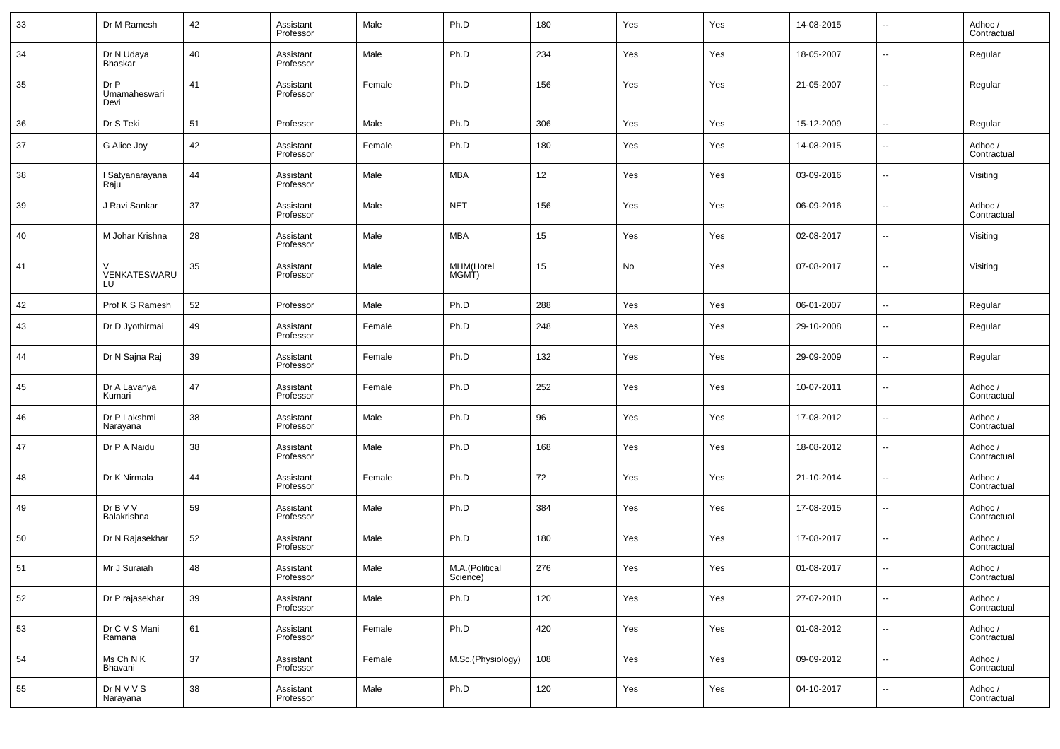| 33 | Dr M Ramesh                  | 42 | Assistant<br>Professor | Male   | Ph.D                       | 180 | Yes | Yes | 14-08-2015 | $\overline{\phantom{a}}$ | Adhoc /<br>Contractual |
|----|------------------------------|----|------------------------|--------|----------------------------|-----|-----|-----|------------|--------------------------|------------------------|
| 34 | Dr N Udaya<br><b>Bhaskar</b> | 40 | Assistant<br>Professor | Male   | Ph.D                       | 234 | Yes | Yes | 18-05-2007 | $\overline{\phantom{a}}$ | Regular                |
| 35 | Dr P<br>Umamaheswari<br>Devi | 41 | Assistant<br>Professor | Female | Ph.D                       | 156 | Yes | Yes | 21-05-2007 | $\overline{\phantom{a}}$ | Regular                |
| 36 | Dr S Teki                    | 51 | Professor              | Male   | Ph.D                       | 306 | Yes | Yes | 15-12-2009 | $\overline{\phantom{a}}$ | Regular                |
| 37 | G Alice Joy                  | 42 | Assistant<br>Professor | Female | Ph.D                       | 180 | Yes | Yes | 14-08-2015 | $\overline{\phantom{a}}$ | Adhoc /<br>Contractual |
| 38 | I Satyanarayana<br>Raju      | 44 | Assistant<br>Professor | Male   | <b>MBA</b>                 | 12  | Yes | Yes | 03-09-2016 | $\overline{\phantom{a}}$ | Visiting               |
| 39 | J Ravi Sankar                | 37 | Assistant<br>Professor | Male   | <b>NET</b>                 | 156 | Yes | Yes | 06-09-2016 | $\overline{\phantom{a}}$ | Adhoc /<br>Contractual |
| 40 | M Johar Krishna              | 28 | Assistant<br>Professor | Male   | <b>MBA</b>                 | 15  | Yes | Yes | 02-08-2017 | $\overline{\phantom{a}}$ | Visiting               |
| 41 | V<br>VENKATESWARU<br>LU      | 35 | Assistant<br>Professor | Male   | MHM(Hotel<br>MGMT)         | 15  | No  | Yes | 07-08-2017 | $\overline{\phantom{a}}$ | Visiting               |
| 42 | Prof K S Ramesh              | 52 | Professor              | Male   | Ph.D                       | 288 | Yes | Yes | 06-01-2007 | $\sim$                   | Regular                |
| 43 | Dr D Jyothirmai              | 49 | Assistant<br>Professor | Female | Ph.D                       | 248 | Yes | Yes | 29-10-2008 | $\overline{\phantom{a}}$ | Regular                |
| 44 | Dr N Sajna Raj               | 39 | Assistant<br>Professor | Female | Ph.D                       | 132 | Yes | Yes | 29-09-2009 | $\overline{\phantom{a}}$ | Regular                |
| 45 | Dr A Lavanya<br>Kumari       | 47 | Assistant<br>Professor | Female | Ph.D                       | 252 | Yes | Yes | 10-07-2011 | $\overline{\phantom{a}}$ | Adhoc /<br>Contractual |
| 46 | Dr P Lakshmi<br>Narayana     | 38 | Assistant<br>Professor | Male   | Ph.D                       | 96  | Yes | Yes | 17-08-2012 | $\overline{\phantom{a}}$ | Adhoc /<br>Contractual |
| 47 | Dr P A Naidu                 | 38 | Assistant<br>Professor | Male   | Ph.D                       | 168 | Yes | Yes | 18-08-2012 | $\overline{\phantom{a}}$ | Adhoc /<br>Contractual |
| 48 | Dr K Nirmala                 | 44 | Assistant<br>Professor | Female | Ph.D                       | 72  | Yes | Yes | 21-10-2014 | $\overline{\phantom{a}}$ | Adhoc /<br>Contractual |
| 49 | Dr B V V<br>Balakrishna      | 59 | Assistant<br>Professor | Male   | Ph.D                       | 384 | Yes | Yes | 17-08-2015 | $\overline{\phantom{a}}$ | Adhoc /<br>Contractual |
| 50 | Dr N Rajasekhar              | 52 | Assistant<br>Professor | Male   | Ph.D                       | 180 | Yes | Yes | 17-08-2017 | $\overline{\phantom{a}}$ | Adhoc /<br>Contractual |
| 51 | Mr J Suraiah                 | 48 | Assistant<br>Professor | Male   | M.A.(Political<br>Science) | 276 | Yes | Yes | 01-08-2017 | $\overline{\phantom{a}}$ | Adhoc /<br>Contractual |
| 52 | Dr P rajasekhar              | 39 | Assistant<br>Professor | Male   | Ph.D                       | 120 | Yes | Yes | 27-07-2010 | $\overline{\phantom{a}}$ | Adhoc /<br>Contractual |
| 53 | Dr C V S Mani<br>Ramana      | 61 | Assistant<br>Professor | Female | Ph.D                       | 420 | Yes | Yes | 01-08-2012 | $\overline{\phantom{a}}$ | Adhoc /<br>Contractual |
| 54 | Ms Ch N K<br>Bhavani         | 37 | Assistant<br>Professor | Female | M.Sc.(Physiology)          | 108 | Yes | Yes | 09-09-2012 | $\overline{\phantom{a}}$ | Adhoc /<br>Contractual |
| 55 | <b>DrNVVS</b><br>Narayana    | 38 | Assistant<br>Professor | Male   | Ph.D                       | 120 | Yes | Yes | 04-10-2017 | $\overline{\phantom{a}}$ | Adhoc /<br>Contractual |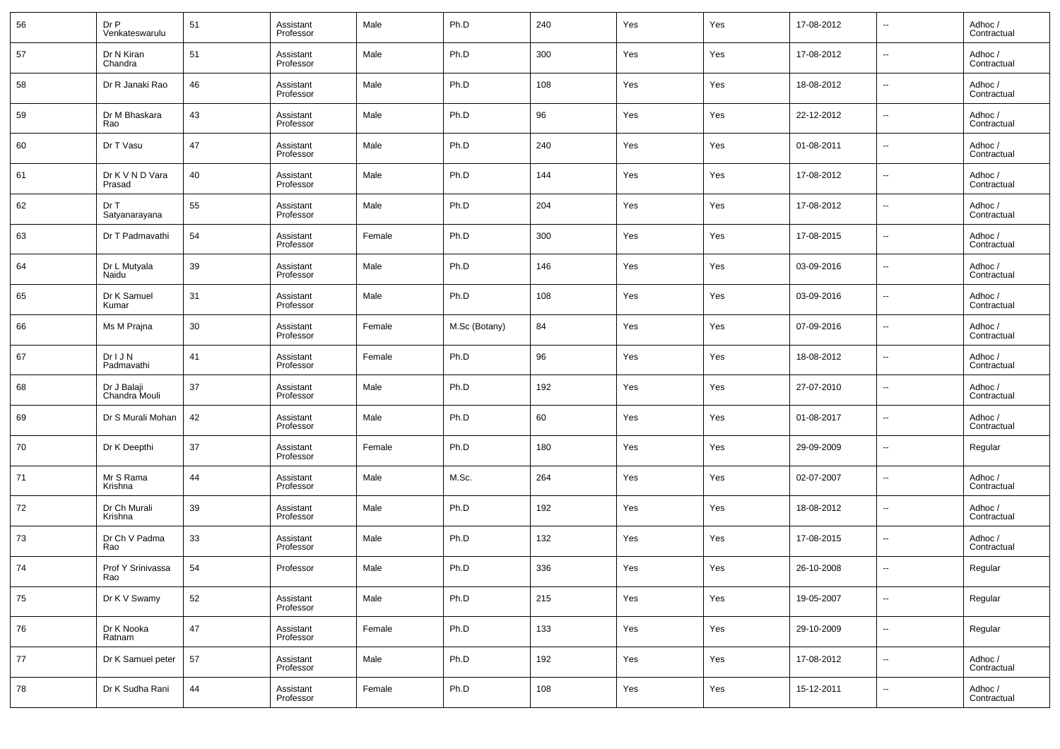| 56 | Dr P<br>Venkateswarulu       | 51 | Assistant<br>Professor | Male   | Ph.D          | 240 | Yes | Yes | 17-08-2012 | $\overline{\phantom{a}}$ | Adhoc /<br>Contractual |
|----|------------------------------|----|------------------------|--------|---------------|-----|-----|-----|------------|--------------------------|------------------------|
| 57 | Dr N Kiran<br>Chandra        | 51 | Assistant<br>Professor | Male   | Ph.D          | 300 | Yes | Yes | 17-08-2012 | $\overline{\phantom{a}}$ | Adhoc /<br>Contractual |
| 58 | Dr R Janaki Rao              | 46 | Assistant<br>Professor | Male   | Ph.D          | 108 | Yes | Yes | 18-08-2012 | $\sim$                   | Adhoc /<br>Contractual |
| 59 | Dr M Bhaskara<br>Rao         | 43 | Assistant<br>Professor | Male   | Ph.D          | 96  | Yes | Yes | 22-12-2012 | ⊶.                       | Adhoc /<br>Contractual |
| 60 | Dr T Vasu                    | 47 | Assistant<br>Professor | Male   | Ph.D          | 240 | Yes | Yes | 01-08-2011 | $\sim$                   | Adhoc /<br>Contractual |
| 61 | Dr K V N D Vara<br>Prasad    | 40 | Assistant<br>Professor | Male   | Ph.D          | 144 | Yes | Yes | 17-08-2012 | ⊶.                       | Adhoc /<br>Contractual |
| 62 | Dr T<br>Satyanarayana        | 55 | Assistant<br>Professor | Male   | Ph.D          | 204 | Yes | Yes | 17-08-2012 | ⊶.                       | Adhoc /<br>Contractual |
| 63 | Dr T Padmavathi              | 54 | Assistant<br>Professor | Female | Ph.D          | 300 | Yes | Yes | 17-08-2015 | ⊶.                       | Adhoc /<br>Contractual |
| 64 | Dr L Mutyala<br>Naidu        | 39 | Assistant<br>Professor | Male   | Ph.D          | 146 | Yes | Yes | 03-09-2016 | ⊶.                       | Adhoc /<br>Contractual |
| 65 | Dr K Samuel<br>Kumar         | 31 | Assistant<br>Professor | Male   | Ph.D          | 108 | Yes | Yes | 03-09-2016 | $\sim$                   | Adhoc /<br>Contractual |
| 66 | Ms M Prajna                  | 30 | Assistant<br>Professor | Female | M.Sc (Botany) | 84  | Yes | Yes | 07-09-2016 | $\overline{\phantom{a}}$ | Adhoc /<br>Contractual |
| 67 | DrIJN<br>Padmavathi          | 41 | Assistant<br>Professor | Female | Ph.D          | 96  | Yes | Yes | 18-08-2012 | $\sim$                   | Adhoc /<br>Contractual |
| 68 | Dr J Balaji<br>Chandra Mouli | 37 | Assistant<br>Professor | Male   | Ph.D          | 192 | Yes | Yes | 27-07-2010 | $\overline{\phantom{a}}$ | Adhoc /<br>Contractual |
| 69 | Dr S Murali Mohan            | 42 | Assistant<br>Professor | Male   | Ph.D          | 60  | Yes | Yes | 01-08-2017 | $\overline{\phantom{a}}$ | Adhoc /<br>Contractual |
| 70 | Dr K Deepthi                 | 37 | Assistant<br>Professor | Female | Ph.D          | 180 | Yes | Yes | 29-09-2009 | $\overline{\phantom{a}}$ | Regular                |
| 71 | Mr S Rama<br>Krishna         | 44 | Assistant<br>Professor | Male   | M.Sc.         | 264 | Yes | Yes | 02-07-2007 | $\overline{\phantom{a}}$ | Adhoc /<br>Contractual |
| 72 | Dr Ch Murali<br>Krishna      | 39 | Assistant<br>Professor | Male   | Ph.D          | 192 | Yes | Yes | 18-08-2012 | $\overline{\phantom{a}}$ | Adhoc /<br>Contractual |
| 73 | Dr Ch V Padma<br>Rao         | 33 | Assistant<br>Professor | Male   | Ph.D          | 132 | Yes | Yes | 17-08-2015 | $\overline{\phantom{a}}$ | Adhoc /<br>Contractual |
| 74 | Prof Y Srinivassa<br>Rao     | 54 | Professor              | Male   | Ph.D          | 336 | Yes | Yes | 26-10-2008 | $\overline{\phantom{a}}$ | Regular                |
| 75 | Dr K V Swamy                 | 52 | Assistant<br>Professor | Male   | Ph.D          | 215 | Yes | Yes | 19-05-2007 | $\overline{\phantom{a}}$ | Regular                |
| 76 | Dr K Nooka<br>Ratnam         | 47 | Assistant<br>Professor | Female | Ph.D          | 133 | Yes | Yes | 29-10-2009 | $\sim$                   | Regular                |
| 77 | Dr K Samuel peter            | 57 | Assistant<br>Professor | Male   | Ph.D          | 192 | Yes | Yes | 17-08-2012 | $\sim$                   | Adhoc /<br>Contractual |
| 78 | Dr K Sudha Rani              | 44 | Assistant<br>Professor | Female | Ph.D          | 108 | Yes | Yes | 15-12-2011 | $\overline{\phantom{a}}$ | Adhoc /<br>Contractual |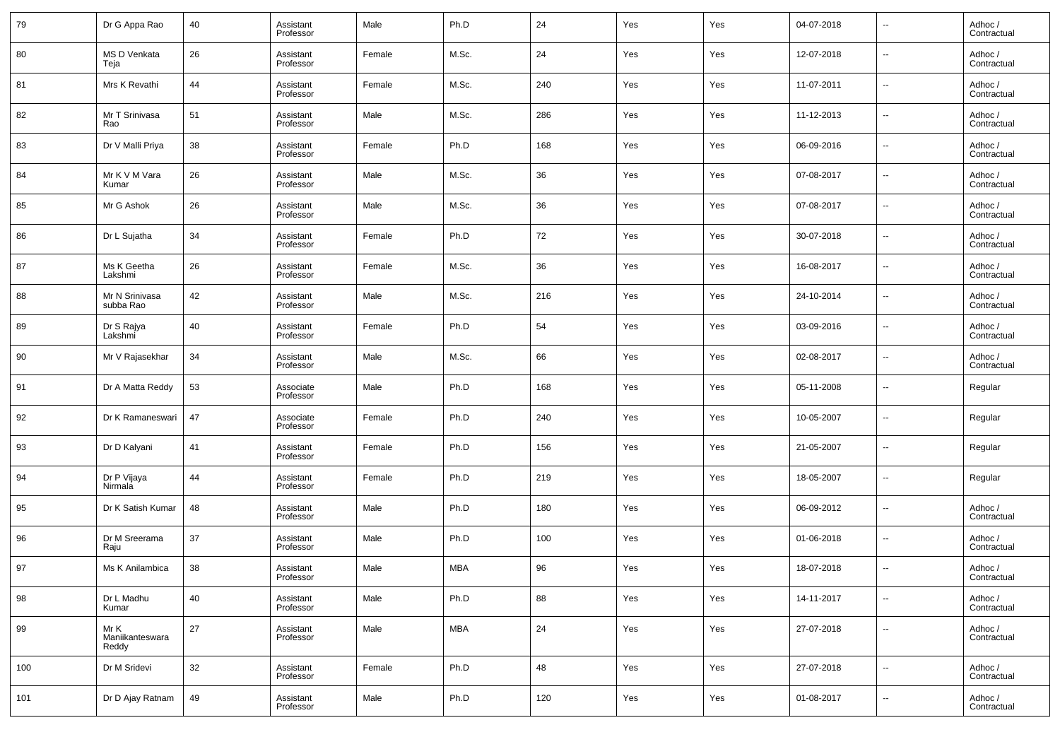| 79  | Dr G Appa Rao                    | 40 | Assistant<br>Professor | Male   | Ph.D       | 24  | Yes | Yes | 04-07-2018 | $\overline{\phantom{a}}$ | Adhoc /<br>Contractual |
|-----|----------------------------------|----|------------------------|--------|------------|-----|-----|-----|------------|--------------------------|------------------------|
| 80  | <b>MS D Venkata</b><br>Teja      | 26 | Assistant<br>Professor | Female | M.Sc.      | 24  | Yes | Yes | 12-07-2018 | $\overline{\phantom{a}}$ | Adhoc /<br>Contractual |
| 81  | Mrs K Revathi                    | 44 | Assistant<br>Professor | Female | M.Sc.      | 240 | Yes | Yes | 11-07-2011 | $\overline{\phantom{a}}$ | Adhoc /<br>Contractual |
| 82  | Mr T Srinivasa<br>Rao            | 51 | Assistant<br>Professor | Male   | M.Sc.      | 286 | Yes | Yes | 11-12-2013 | $\overline{\phantom{a}}$ | Adhoc /<br>Contractual |
| 83  | Dr V Malli Priya                 | 38 | Assistant<br>Professor | Female | Ph.D       | 168 | Yes | Yes | 06-09-2016 | $\overline{\phantom{a}}$ | Adhoc /<br>Contractual |
| 84  | Mr K V M Vara<br>Kumar           | 26 | Assistant<br>Professor | Male   | M.Sc.      | 36  | Yes | Yes | 07-08-2017 | $\overline{\phantom{a}}$ | Adhoc /<br>Contractual |
| 85  | Mr G Ashok                       | 26 | Assistant<br>Professor | Male   | M.Sc.      | 36  | Yes | Yes | 07-08-2017 | $\overline{\phantom{a}}$ | Adhoc /<br>Contractual |
| 86  | Dr L Sujatha                     | 34 | Assistant<br>Professor | Female | Ph.D       | 72  | Yes | Yes | 30-07-2018 | $\overline{\phantom{a}}$ | Adhoc /<br>Contractual |
| 87  | Ms K Geetha<br>Lakshmi           | 26 | Assistant<br>Professor | Female | M.Sc.      | 36  | Yes | Yes | 16-08-2017 | $\overline{\phantom{a}}$ | Adhoc /<br>Contractual |
| 88  | Mr N Srinivasa<br>subba Rao      | 42 | Assistant<br>Professor | Male   | M.Sc.      | 216 | Yes | Yes | 24-10-2014 | $\overline{\phantom{a}}$ | Adhoc /<br>Contractual |
| 89  | Dr S Rajya<br>Lakshmi            | 40 | Assistant<br>Professor | Female | Ph.D       | 54  | Yes | Yes | 03-09-2016 | $\overline{\phantom{a}}$ | Adhoc /<br>Contractual |
| 90  | Mr V Rajasekhar                  | 34 | Assistant<br>Professor | Male   | M.Sc.      | 66  | Yes | Yes | 02-08-2017 | $\overline{\phantom{a}}$ | Adhoc /<br>Contractual |
| 91  | Dr A Matta Reddy                 | 53 | Associate<br>Professor | Male   | Ph.D       | 168 | Yes | Yes | 05-11-2008 | $\overline{\phantom{a}}$ | Regular                |
| 92  | Dr K Ramaneswari                 | 47 | Associate<br>Professor | Female | Ph.D       | 240 | Yes | Yes | 10-05-2007 | $\overline{\phantom{a}}$ | Regular                |
| 93  | Dr D Kalyani                     | 41 | Assistant<br>Professor | Female | Ph.D       | 156 | Yes | Yes | 21-05-2007 | $\overline{\phantom{a}}$ | Regular                |
| 94  | Dr P Vijaya<br>Nirmala           | 44 | Assistant<br>Professor | Female | Ph.D       | 219 | Yes | Yes | 18-05-2007 | $\overline{\phantom{a}}$ | Regular                |
| 95  | Dr K Satish Kumar                | 48 | Assistant<br>Professor | Male   | Ph.D       | 180 | Yes | Yes | 06-09-2012 | $\overline{\phantom{a}}$ | Adhoc /<br>Contractual |
| 96  | Dr M Sreerama<br>Raju            | 37 | Assistant<br>Professor | Male   | Ph.D       | 100 | Yes | Yes | 01-06-2018 | $\overline{\phantom{a}}$ | Adhoc /<br>Contractual |
| 97  | Ms K Anilambica                  | 38 | Assistant<br>Professor | Male   | MBA        | 96  | Yes | Yes | 18-07-2018 | $\overline{\phantom{a}}$ | Adhoc /<br>Contractual |
| 98  | Dr L Madhu<br>Kumar              | 40 | Assistant<br>Professor | Male   | Ph.D       | 88  | Yes | Yes | 14-11-2017 | $\overline{\phantom{a}}$ | Adhoc /<br>Contractual |
| 99  | Mr K<br>Maniikanteswara<br>Reddy | 27 | Assistant<br>Professor | Male   | <b>MBA</b> | 24  | Yes | Yes | 27-07-2018 | $\overline{\phantom{a}}$ | Adhoc /<br>Contractual |
| 100 | Dr M Sridevi                     | 32 | Assistant<br>Professor | Female | Ph.D       | 48  | Yes | Yes | 27-07-2018 | $\overline{\phantom{a}}$ | Adhoc /<br>Contractual |
| 101 | Dr D Ajay Ratnam                 | 49 | Assistant<br>Professor | Male   | Ph.D       | 120 | Yes | Yes | 01-08-2017 | ۰.                       | Adhoc /<br>Contractual |